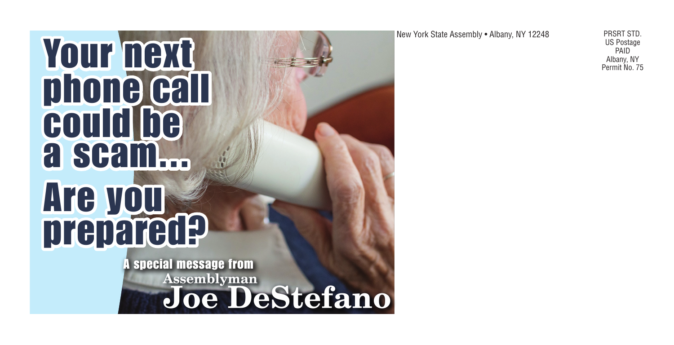## **YOUF TEXT** phone call could be a scam... Are you prepared?

A special message fromJoe DeStefano

New York State Assembly • Albany, NY 12248 PRSRT STD.

US Postage PAID<br>Albany, NY